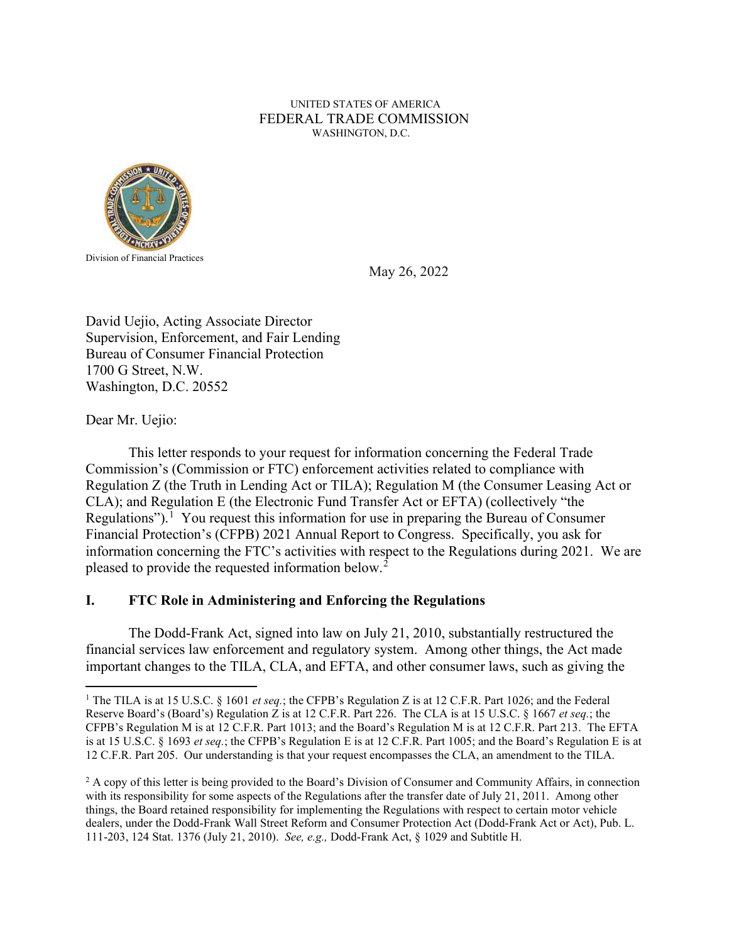# UNITED STATES OF AMERICA FEDERAL TRADE COMMISSION WASHINGTON, D.C.



May 26, 2022

David Uejio, Acting Associate Director Supervision, Enforcement, and Fair Lending Bureau of Consumer Financial Protection 1700 G Street, N.W. Washington, D.C. 20552

Dear Mr. Uejio:

This letter responds to your request for information concerning the Federal Trade Commission's (Commission or FTC) enforcement activities related to compliance with Regulation Z (the Truth in Lending Act or TILA); Regulation M (the Consumer Leasing Act or CLA); and Regulation E (the Electronic Fund Transfer Act or EFTA) (collectively "the Regulations").<sup>[1](#page-0-0)</sup> You request this information for use in preparing the Bureau of Consumer Financial Protection's (CFPB) 2021 Annual Report to Congress. Specifically, you ask for information concerning the FTC's activities with respect to the Regulations during 2021. We are pleased to provide the requested information below.<sup>[2](#page-0-1)</sup>

# **I. FTC Role in Administering and Enforcing the Regulations**

The Dodd-Frank Act, signed into law on July 21, 2010, substantially restructured the financial services law enforcement and regulatory system. Among other things, the Act made important changes to the TILA, CLA, and EFTA, and other consumer laws, such as giving the

<span id="page-0-0"></span><sup>&</sup>lt;sup>1</sup> The TILA is at 15 U.S.C. § 1601 *et seq.*; the CFPB's Regulation Z is at 12 C.F.R. Part 1026; and the Federal Reserve Board's (Board's) Regulation Z is at 12 C.F.R. Part 226. The CLA is at 15 U.S.C. § 1667 *et seq.*; the CFPB's Regulation M is at 12 C.F.R. Part 1013; and the Board's Regulation M is at 12 C.F.R. Part 213. The EFTA is at 15 U.S.C. § 1693 *et seq.*; the CFPB's Regulation E is at 12 C.F.R. Part 1005; and the Board's Regulation E is at 12 C.F.R. Part 205. Our understanding is that your request encompasses the CLA, an amendment to the TILA.

<span id="page-0-1"></span><sup>&</sup>lt;sup>2</sup> A copy of this letter is being provided to the Board's Division of Consumer and Community Affairs, in connection with its responsibility for some aspects of the Regulations after the transfer date of July 21, 2011. Among other things, the Board retained responsibility for implementing the Regulations with respect to certain motor vehicle dealers, under the Dodd-Frank Wall Street Reform and Consumer Protection Act (Dodd-Frank Act or Act), Pub. L. 111-203, 124 Stat. 1376 (July 21, 2010). *See, e.g.,* Dodd-Frank Act, § 1029 and Subtitle H.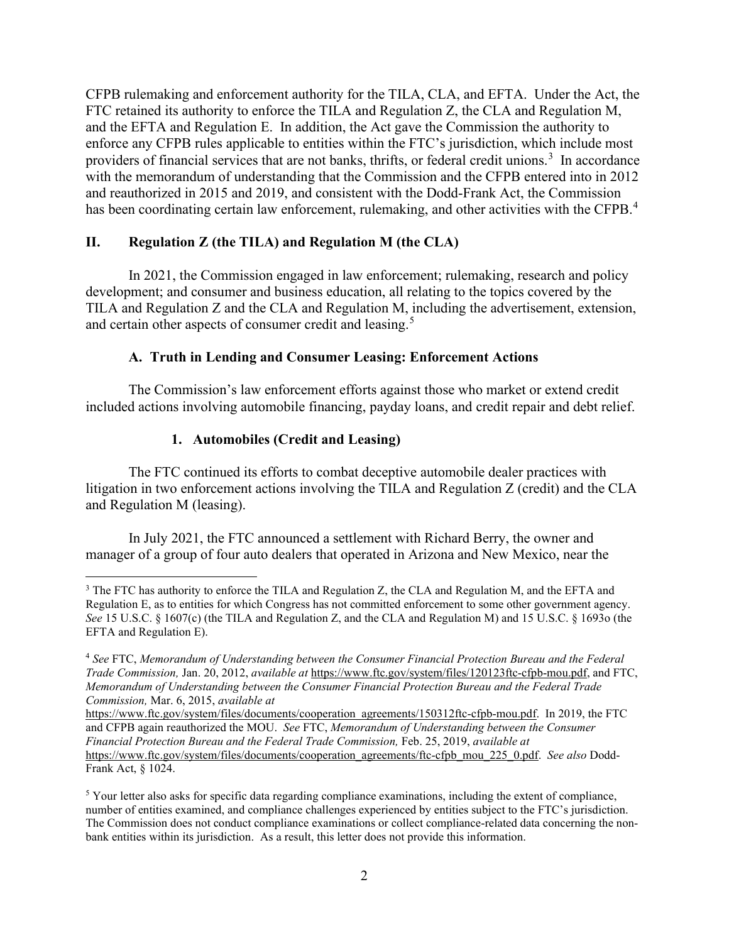CFPB rulemaking and enforcement authority for the TILA, CLA, and EFTA. Under the Act, the FTC retained its authority to enforce the TILA and Regulation Z, the CLA and Regulation M, and the EFTA and Regulation E. In addition, the Act gave the Commission the authority to enforce any CFPB rules applicable to entities within the FTC's jurisdiction, which include most providers of financial services that are not banks, thrifts, or federal credit unions.<sup>[3](#page-1-0)</sup> In accordance with the memorandum of understanding that the Commission and the CFPB entered into in 2012 and reauthorized in 2015 and 2019, and consistent with the Dodd-Frank Act, the Commission has been coordinating certain law enforcement, rulemaking, and other activities with the CFPB.<sup>[4](#page-1-1)</sup>

#### **II. Regulation Z (the TILA) and Regulation M (the CLA)**

In 2021, the Commission engaged in law enforcement; rulemaking, research and policy development; and consumer and business education, all relating to the topics covered by the TILA and Regulation Z and the CLA and Regulation M, including the advertisement, extension, and certain other aspects of consumer credit and leasing.<sup>[5](#page-1-2)</sup>

## **A. Truth in Lending and Consumer Leasing: Enforcement Actions**

The Commission's law enforcement efforts against those who market or extend credit included actions involving automobile financing, payday loans, and credit repair and debt relief.

# **1. Automobiles (Credit and Leasing)**

The FTC continued its efforts to combat deceptive automobile dealer practices with litigation in two enforcement actions involving the TILA and Regulation Z (credit) and the CLA and Regulation M (leasing).

In July 2021, the FTC announced a settlement with Richard Berry, the owner and manager of a group of four auto dealers that operated in Arizona and New Mexico, near the

<span id="page-1-0"></span><sup>&</sup>lt;sup>3</sup> The FTC has authority to enforce the TILA and Regulation Z, the CLA and Regulation M, and the EFTA and Regulation E, as to entities for which Congress has not committed enforcement to some other government agency. *See* 15 U.S.C. § 1607(c) (the TILA and Regulation Z, and the CLA and Regulation M) and 15 U.S.C. § 1693o (the EFTA and Regulation E).

<span id="page-1-1"></span><sup>4</sup> *See* FTC, *Memorandum of Understanding between the Consumer Financial Protection Bureau and the Federal Trade Commission,* Jan. 20, 2012, *available at* https://www.ftc.gov/system/files/120123ftc-cfpb-mou.pdf, and FTC, *Memorandum of Understanding between the Consumer Financial Protection Bureau and the Federal Trade Commission,* Mar. 6, 2015, *available at*

https://www.ftc.gov/system/files/documents/cooperation\_agreements/150312ftc-cfpb-mou.pdf. In 2019, the FTC and CFPB again reauthorized the MOU. *See* FTC, *Memorandum of Understanding between the Consumer Financial Protection Bureau and the Federal Trade Commission,* Feb. 25, 2019, *available at*  https://www.ftc.gov/system/files/documents/cooperation\_agreements/ftc-cfpb\_mou\_225\_0.pdf. *See also* Dodd-Frank Act, § 1024.

<span id="page-1-2"></span><sup>&</sup>lt;sup>5</sup> Your letter also asks for specific data regarding compliance examinations, including the extent of compliance, number of entities examined, and compliance challenges experienced by entities subject to the FTC's jurisdiction. The Commission does not conduct compliance examinations or collect compliance-related data concerning the nonbank entities within its jurisdiction. As a result, this letter does not provide this information.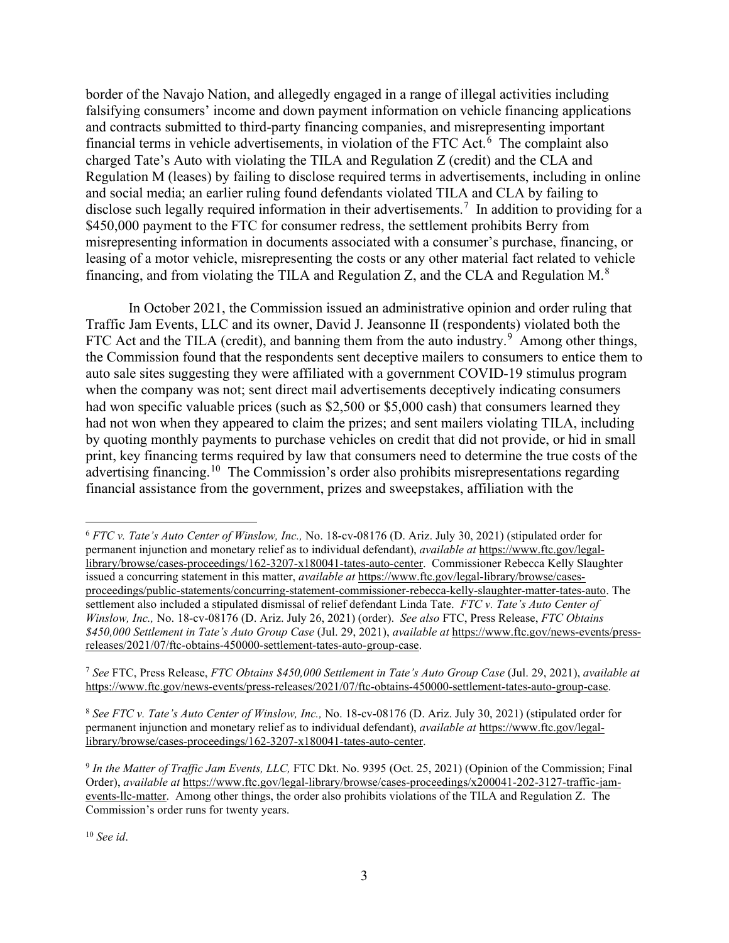border of the Navajo Nation, and allegedly engaged in a range of illegal activities including falsifying consumers' income and down payment information on vehicle financing applications and contracts submitted to third-party financing companies, and misrepresenting important financial terms in vehicle advertisements, in violation of the FTC Act.<sup>[6](#page-2-0)</sup> The complaint also charged Tate's Auto with violating the TILA and Regulation Z (credit) and the CLA and Regulation M (leases) by failing to disclose required terms in advertisements, including in online and social media; an earlier ruling found defendants violated TILA and CLA by failing to disclose such legally required information in their advertisements. [7](#page-2-1) In addition to providing for a \$450,000 payment to the FTC for consumer redress, the settlement prohibits Berry from misrepresenting information in documents associated with a consumer's purchase, financing, or leasing of a motor vehicle, misrepresenting the costs or any other material fact related to vehicle financing, and from violating the TILA and Regulation Z, and the CLA and Regulation M.<sup>[8](#page-2-2)</sup>

In October 2021, the Commission issued an administrative opinion and order ruling that Traffic Jam Events, LLC and its owner, David J. Jeansonne II (respondents) violated both the FTC Act and the TILA (credit), and banning them from the auto industry. $9$  Among other things, the Commission found that the respondents sent deceptive mailers to consumers to entice them to auto sale sites suggesting they were affiliated with a government COVID-19 stimulus program when the company was not; sent direct mail advertisements deceptively indicating consumers had won specific valuable prices (such as \$2,500 or \$5,000 cash) that consumers learned they had not won when they appeared to claim the prizes; and sent mailers violating TILA, including by quoting monthly payments to purchase vehicles on credit that did not provide, or hid in small print, key financing terms required by law that consumers need to determine the true costs of the advertising financing.[10](#page-2-4) The Commission's order also prohibits misrepresentations regarding financial assistance from the government, prizes and sweepstakes, affiliation with the

<span id="page-2-1"></span><sup>7</sup> *See* FTC, Press Release, *FTC Obtains \$450,000 Settlement in Tate's Auto Group Case* (Jul. 29, 2021), *available at*  https://www.ftc.gov/news-events/press-releases/2021/07/ftc-obtains-450000-settlement-tates-auto-group-case.

<span id="page-2-2"></span><sup>8</sup> *See FTC v. Tate's Auto Center of Winslow, Inc.,* No. 18-cv-08176 (D. Ariz. July 30, 2021) (stipulated order for permanent injunction and monetary relief as to individual defendant), *available at* https://www.ftc.gov/legallibrary/browse/cases-proceedings/162-3207-x180041-tates-auto-center.

<span id="page-2-4"></span><sup>10</sup> *See id*.

<span id="page-2-0"></span><sup>6</sup> *FTC v. Tate's Auto Center of Winslow, Inc.,* No. 18-cv-08176 (D. Ariz. July 30, 2021) (stipulated order for permanent injunction and monetary relief as to individual defendant), *available at* https://www.ftc.gov/legallibrary/browse/cases-proceedings/162-3207-x180041-tates-auto-center. Commissioner Rebecca Kelly Slaughter issued a concurring statement in this matter, *available at* https://www.ftc.gov/legal-library/browse/casesproceedings/public-statements/concurring-statement-commissioner-rebecca-kelly-slaughter-matter-tates-auto. The settlement also included a stipulated dismissal of relief defendant Linda Tate. *FTC v. Tate's Auto Center of Winslow, Inc.,* No. 18-cv-08176 (D. Ariz. July 26, 2021) (order). *See also* FTC, Press Release, *FTC Obtains \$450,000 Settlement in Tate's Auto Group Case* (Jul. 29, 2021), *available at* https://www.ftc.gov/news-events/pressreleases/2021/07/ftc-obtains-450000-settlement-tates-auto-group-case.

<span id="page-2-3"></span><sup>9</sup> *In the Matter of Traffic Jam Events, LLC,* FTC Dkt. No. 9395 (Oct. 25, 2021) (Opinion of the Commission; Final Order), *available at* https://www.ftc.gov/legal-library/browse/cases-proceedings/x200041-202-3127-traffic-jamevents-llc-matter. Among other things, the order also prohibits violations of the TILA and Regulation Z. The Commission's order runs for twenty years.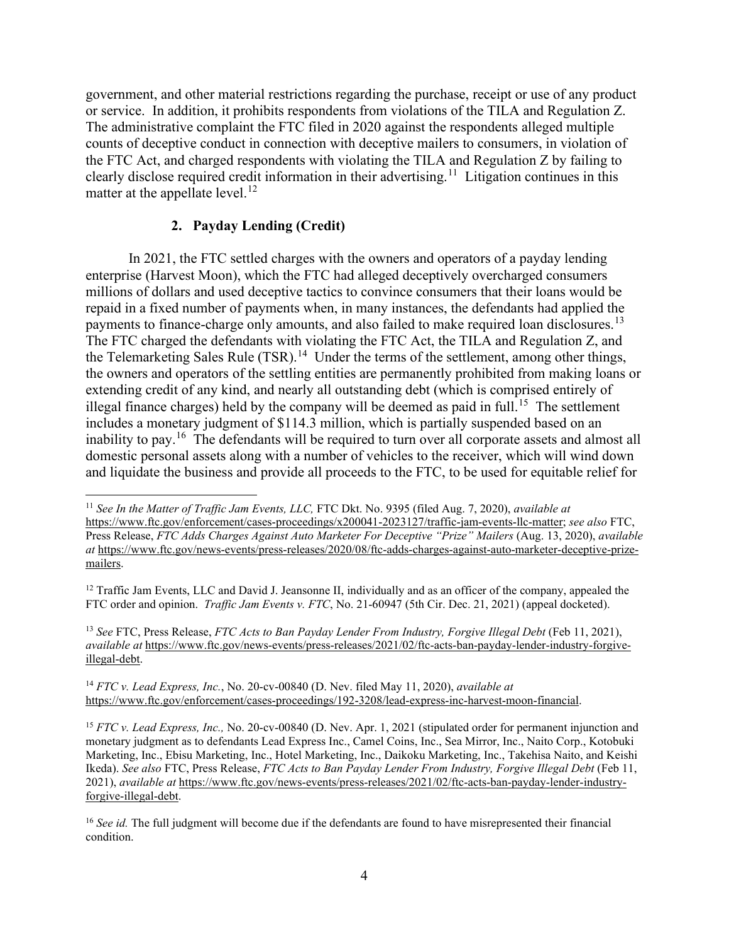government, and other material restrictions regarding the purchase, receipt or use of any product or service. In addition, it prohibits respondents from violations of the TILA and Regulation Z. The administrative complaint the FTC filed in 2020 against the respondents alleged multiple counts of deceptive conduct in connection with deceptive mailers to consumers, in violation of the FTC Act, and charged respondents with violating the TILA and Regulation Z by failing to clearly disclose required credit information in their advertising.<sup>11</sup> Litigation continues in this matter at the appellate level.<sup>[12](#page-3-1)</sup>

## **2. Payday Lending (Credit)**

In 2021, the FTC settled charges with the owners and operators of a payday lending enterprise (Harvest Moon), which the FTC had alleged deceptively overcharged consumers millions of dollars and used deceptive tactics to convince consumers that their loans would be repaid in a fixed number of payments when, in many instances, the defendants had applied the payments to finance-charge only amounts, and also failed to make required loan disclosures.<sup>[13](#page-3-2)</sup> The FTC charged the defendants with violating the FTC Act, the TILA and Regulation Z, and the Telemarketing Sales Rule (TSR).<sup>[14](#page-3-3)</sup> Under the terms of the settlement, among other things, the owners and operators of the settling entities are permanently prohibited from making loans or extending credit of any kind, and nearly all outstanding debt (which is comprised entirely of illegal finance charges) held by the company will be deemed as paid in full.<sup>[15](#page-3-4)</sup> The settlement includes a monetary judgment of \$114.3 million, which is partially suspended based on an inability to pay.<sup>[16](#page-3-5)</sup> The defendants will be required to turn over all corporate assets and almost all domestic personal assets along with a number of vehicles to the receiver, which will wind down and liquidate the business and provide all proceeds to the FTC, to be used for equitable relief for

<span id="page-3-2"></span><sup>13</sup> *See* FTC, Press Release, *FTC Acts to Ban Payday Lender From Industry, Forgive Illegal Debt* (Feb 11, 2021), *available at* https://www.ftc.gov/news-events/press-releases/2021/02/ftc-acts-ban-payday-lender-industry-forgiveillegal-debt.

<span id="page-3-3"></span><sup>14</sup> *FTC v. Lead Express, Inc.*, No. 20-cv-00840 (D. Nev. filed May 11, 2020), *available at*  https://www.ftc.gov/enforcement/cases-proceedings/192-3208/lead-express-inc-harvest-moon-financial.

<span id="page-3-0"></span><sup>11</sup> *See In the Matter of Traffic Jam Events, LLC,* FTC Dkt. No. 9395 (filed Aug. 7, 2020), *available at* https://www.ftc.gov/enforcement/cases-proceedings/x200041-2023127/traffic-jam-events-llc-matter; *see also* FTC, Press Release, *FTC Adds Charges Against Auto Marketer For Deceptive "Prize" Mailers* (Aug. 13, 2020), *available at* https://www.ftc.gov/news-events/press-releases/2020/08/ftc-adds-charges-against-auto-marketer-deceptive-prizemailers.

<span id="page-3-1"></span><sup>&</sup>lt;sup>12</sup> Traffic Jam Events, LLC and David J. Jeansonne II, individually and as an officer of the company, appealed the FTC order and opinion. *Traffic Jam Events v. FTC*, No. 21-60947 (5th Cir. Dec. 21, 2021) (appeal docketed).

<span id="page-3-4"></span><sup>&</sup>lt;sup>15</sup> *FTC v. Lead Express, Inc.*, No. 20-cv-00840 (D. Nev. Apr. 1, 2021 (stipulated order for permanent injunction and monetary judgment as to defendants Lead Express Inc., Camel Coins, Inc., Sea Mirror, Inc., Naito Corp., Kotobuki Marketing, Inc., Ebisu Marketing, Inc., Hotel Marketing, Inc., Daikoku Marketing, Inc., Takehisa Naito, and Keishi Ikeda). *See also* FTC, Press Release, *FTC Acts to Ban Payday Lender From Industry, Forgive Illegal Debt* (Feb 11, 2021), *available at* https://www.ftc.gov/news-events/press-releases/2021/02/ftc-acts-ban-payday-lender-industryforgive-illegal-debt.

<span id="page-3-5"></span><sup>&</sup>lt;sup>16</sup> *See id.* The full judgment will become due if the defendants are found to have misrepresented their financial condition.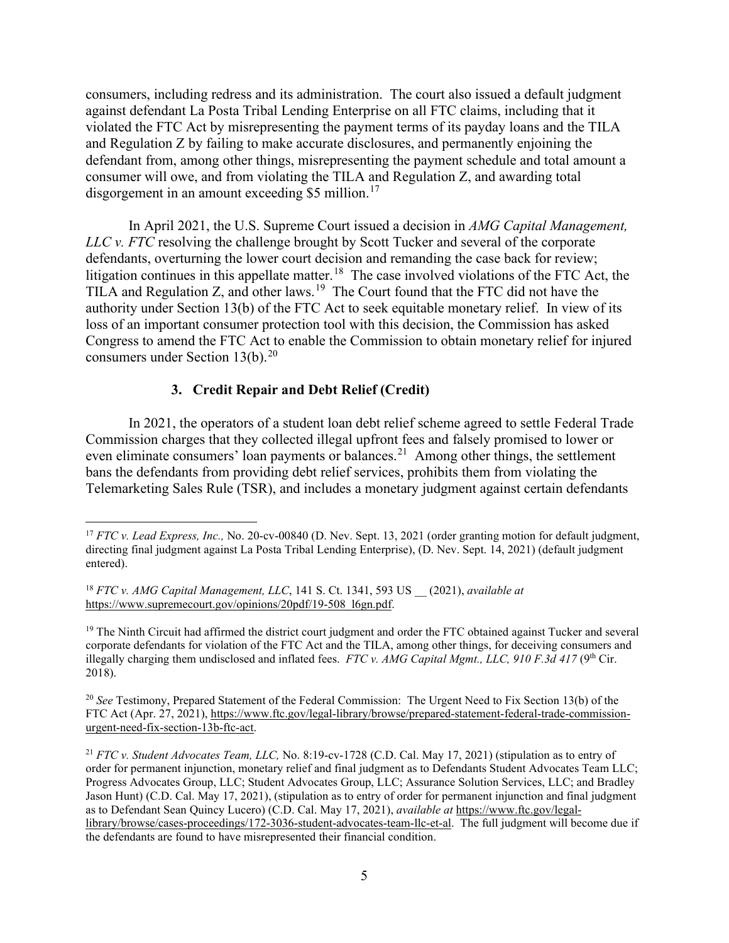consumers, including redress and its administration. The court also issued a default judgment against defendant La Posta Tribal Lending Enterprise on all FTC claims, including that it violated the FTC Act by misrepresenting the payment terms of its payday loans and the TILA and Regulation Z by failing to make accurate disclosures, and permanently enjoining the defendant from, among other things, misrepresenting the payment schedule and total amount a consumer will owe, and from violating the TILA and Regulation Z, and awarding total disgorgement in an amount exceeding \$5 million.<sup>[17](#page-4-0)</sup>

In April 2021, the U.S. Supreme Court issued a decision in *AMG Capital Management, LLC v. FTC* resolving the challenge brought by Scott Tucker and several of the corporate defendants, overturning the lower court decision and remanding the case back for review; litigation continues in this appellate matter.<sup>18</sup> The case involved violations of the FTC Act, the TILA and Regulation Z, and other laws.<sup>[19](#page-4-2)</sup> The Court found that the FTC did not have the authority under Section 13(b) of the FTC Act to seek equitable monetary relief. In view of its loss of an important consumer protection tool with this decision, the Commission has asked Congress to amend the FTC Act to enable the Commission to obtain monetary relief for injured consumers under Section  $13(b)$ .<sup>[20](#page-4-3)</sup>

#### **3. Credit Repair and Debt Relief (Credit)**

In 2021, the operators of a student loan debt relief scheme agreed to settle Federal Trade Commission charges that they collected illegal upfront fees and falsely promised to lower or even eliminate consumers' loan payments or balances.<sup>[21](#page-4-4)</sup> Among other things, the settlement bans the defendants from providing debt relief services, prohibits them from violating the Telemarketing Sales Rule (TSR), and includes a monetary judgment against certain defendants

<span id="page-4-0"></span><sup>17</sup> *FTC v. Lead Express, Inc.,* No. 20-cv-00840 (D. Nev. Sept. 13, 2021 (order granting motion for default judgment, directing final judgment against La Posta Tribal Lending Enterprise), (D. Nev. Sept. 14, 2021) (default judgment entered).

<span id="page-4-1"></span><sup>18</sup> *FTC v. AMG Capital Management, LLC*, 141 S. Ct. 1341, 593 US \_\_ (2021), *available at*  https://www.supremecourt.gov/opinions/20pdf/19-508\_l6gn.pdf.

<span id="page-4-2"></span> $19$  The Ninth Circuit had affirmed the district court judgment and order the FTC obtained against Tucker and several corporate defendants for violation of the FTC Act and the TILA, among other things, for deceiving consumers and illegally charging them undisclosed and inflated fees. *FTC v. AMG Capital Mgmt., LLC, 910 F.3d 417* (9<sup>th</sup> Cir. 2018).

<span id="page-4-3"></span><sup>20</sup> *See* Testimony, Prepared Statement of the Federal Commission: The Urgent Need to Fix Section 13(b) of the FTC Act (Apr. 27, 2021), https://www.ftc.gov/legal-library/browse/prepared-statement-federal-trade-commissionurgent-need-fix-section-13b-ftc-act.

<span id="page-4-4"></span><sup>21</sup> *FTC v. Student Advocates Team, LLC,* No. 8:19-cv-1728 (C.D. Cal. May 17, 2021) (stipulation as to entry of order for permanent injunction, monetary relief and final judgment as to Defendants Student Advocates Team LLC; Progress Advocates Group, LLC; Student Advocates Group, LLC; Assurance Solution Services, LLC; and Bradley Jason Hunt) (C.D. Cal. May 17, 2021), (stipulation as to entry of order for permanent injunction and final judgment as to Defendant Sean Quincy Lucero) (C.D. Cal. May 17, 2021), *available at* https://www.ftc.gov/legallibrary/browse/cases-proceedings/172-3036-student-advocates-team-llc-et-al. The full judgment will become due if the defendants are found to have misrepresented their financial condition.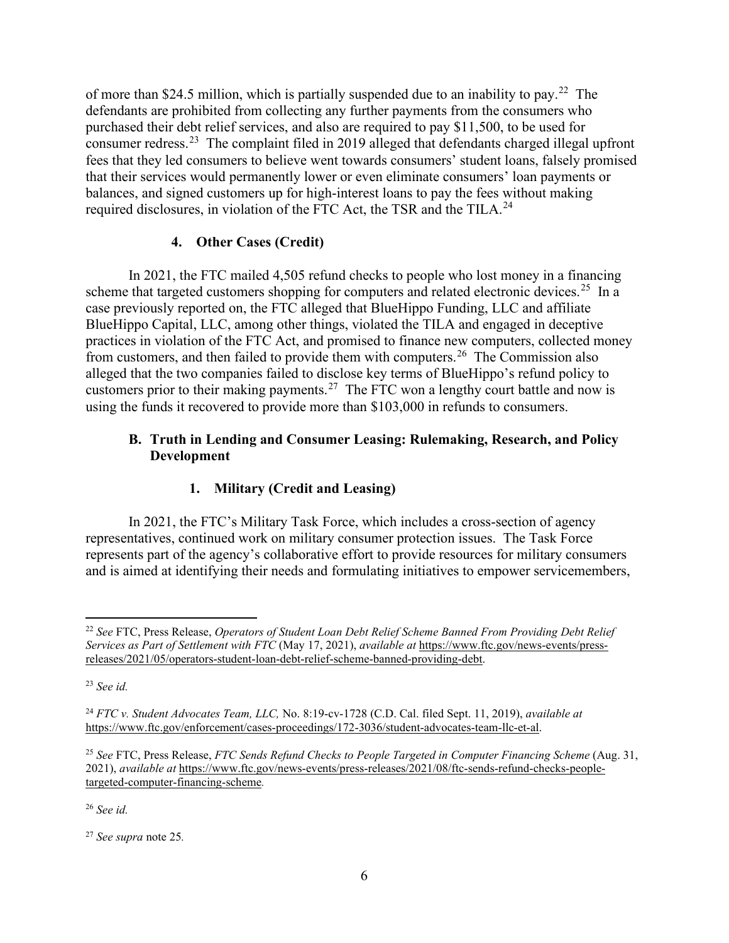of more than \$24.5 million, which is partially suspended due to an inability to pay.<sup>[22](#page-5-0)</sup> The defendants are prohibited from collecting any further payments from the consumers who purchased their debt relief services, and also are required to pay \$11,500, to be used for consumer redress.<sup>[23](#page-5-1)</sup> The complaint filed in 2019 alleged that defendants charged illegal upfront fees that they led consumers to believe went towards consumers' student loans, falsely promised that their services would permanently lower or even eliminate consumers' loan payments or balances, and signed customers up for high-interest loans to pay the fees without making required disclosures, in violation of the FTC Act, the TSR and the TILA.<sup>[24](#page-5-2)</sup>

# **4. Other Cases (Credit)**

In 2021, the FTC mailed 4,505 refund checks to people who lost money in a financing scheme that targeted customers shopping for computers and related electronic devices.<sup>[25](#page-5-3)</sup> In a case previously reported on, the FTC alleged that BlueHippo Funding, LLC and affiliate BlueHippo Capital, LLC, among other things, violated the TILA and engaged in deceptive practices in violation of the FTC Act, and promised to finance new computers, collected money from customers, and then failed to provide them with computers.<sup>[26](#page-5-4)</sup> The Commission also alleged that the two companies failed to disclose key terms of BlueHippo's refund policy to customers prior to their making payments.<sup>[27](#page-5-5)</sup> The FTC won a lengthy court battle and now is using the funds it recovered to provide more than \$103,000 in refunds to consumers.

# **B. Truth in Lending and Consumer Leasing: Rulemaking, Research, and Policy Development**

# **1. Military (Credit and Leasing)**

In 2021, the FTC's Military Task Force, which includes a cross-section of agency representatives, continued work on military consumer protection issues. The Task Force represents part of the agency's collaborative effort to provide resources for military consumers and is aimed at identifying their needs and formulating initiatives to empower servicemembers,

<span id="page-5-4"></span><sup>26</sup> *See id.*

<span id="page-5-0"></span><sup>22</sup> *See* FTC, Press Release, *Operators of Student Loan Debt Relief Scheme Banned From Providing Debt Relief Services as Part of Settlement with FTC* (May 17, 2021), *available at* https://www.ftc.gov/news-events/pressreleases/2021/05/operators-student-loan-debt-relief-scheme-banned-providing-debt.

<span id="page-5-1"></span><sup>23</sup> *See id.*

<span id="page-5-2"></span><sup>24</sup> *FTC v. Student Advocates Team, LLC,* No. 8:19-cv-1728 (C.D. Cal. filed Sept. 11, 2019), *available at*  https://www.ftc.gov/enforcement/cases-proceedings/172-3036/student-advocates-team-llc-et-al.

<span id="page-5-3"></span><sup>25</sup> *See* FTC, Press Release, *FTC Sends Refund Checks to People Targeted in Computer Financing Scheme* (Aug. 31, 2021), *available at* https://www.ftc.gov/news-events/press-releases/2021/08/ftc-sends-refund-checks-peopletargeted-computer-financing-scheme*.* 

<span id="page-5-5"></span><sup>27</sup> *See supra* note 25*.*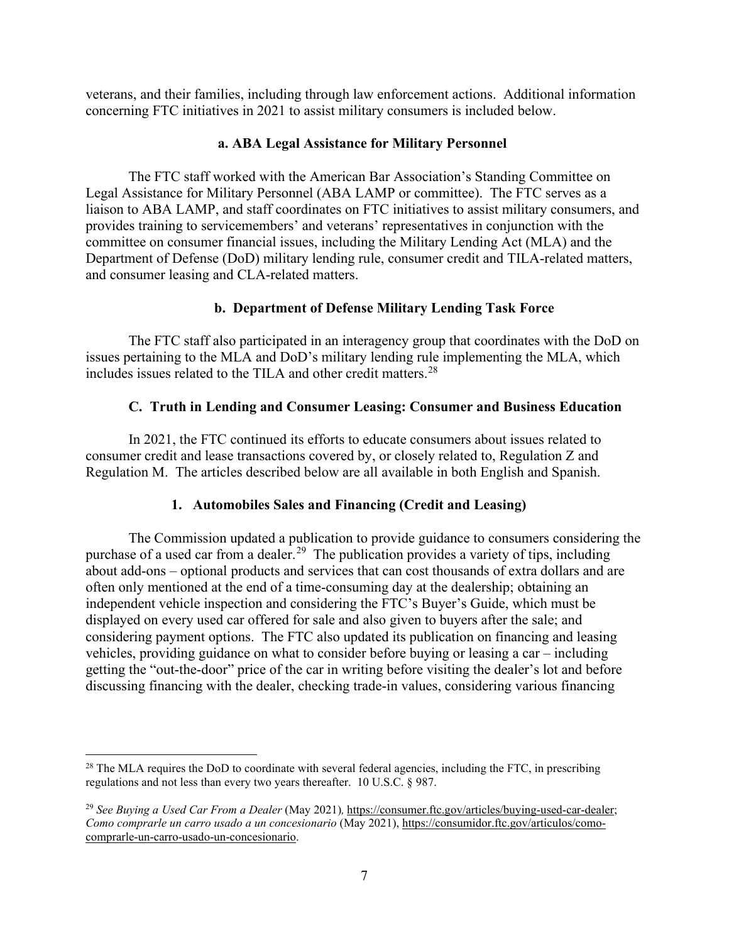veterans, and their families, including through law enforcement actions. Additional information concerning FTC initiatives in 2021 to assist military consumers is included below.

## **a. ABA Legal Assistance for Military Personnel**

The FTC staff worked with the American Bar Association's Standing Committee on Legal Assistance for Military Personnel (ABA LAMP or committee). The FTC serves as a liaison to ABA LAMP, and staff coordinates on FTC initiatives to assist military consumers, and provides training to servicemembers' and veterans' representatives in conjunction with the committee on consumer financial issues, including the Military Lending Act (MLA) and the Department of Defense (DoD) military lending rule, consumer credit and TILA-related matters, and consumer leasing and CLA-related matters.

# **b. Department of Defense Military Lending Task Force**

The FTC staff also participated in an interagency group that coordinates with the DoD on issues pertaining to the MLA and DoD's military lending rule implementing the MLA, which includes issues related to the TILA and other credit matters.[28](#page-6-0) 

# **C. Truth in Lending and Consumer Leasing: Consumer and Business Education**

In 2021, the FTC continued its efforts to educate consumers about issues related to consumer credit and lease transactions covered by, or closely related to, Regulation Z and Regulation M. The articles described below are all available in both English and Spanish.

# **1. Automobiles Sales and Financing (Credit and Leasing)**

The Commission updated a publication to provide guidance to consumers considering the purchase of a used car from a dealer.<sup>[29](#page-6-1)</sup> The publication provides a variety of tips, including about add-ons – optional products and services that can cost thousands of extra dollars and are often only mentioned at the end of a time-consuming day at the dealership; obtaining an independent vehicle inspection and considering the FTC's Buyer's Guide, which must be displayed on every used car offered for sale and also given to buyers after the sale; and considering payment options. The FTC also updated its publication on financing and leasing vehicles, providing guidance on what to consider before buying or leasing a car – including getting the "out-the-door" price of the car in writing before visiting the dealer's lot and before discussing financing with the dealer, checking trade-in values, considering various financing

<span id="page-6-0"></span><sup>&</sup>lt;sup>28</sup> The MLA requires the DoD to coordinate with several federal agencies, including the FTC, in prescribing regulations and not less than every two years thereafter. 10 U.S.C. § 987.

<span id="page-6-1"></span><sup>29</sup> *See Buying a Used Car From a Dealer* (May 2021)*,* https://consumer.ftc.gov/articles/buying-used-car-dealer; *Como comprarle un carro usado a un concesionario* (May 2021), https://consumidor.ftc.gov/articulos/comocomprarle-un-carro-usado-un-concesionario.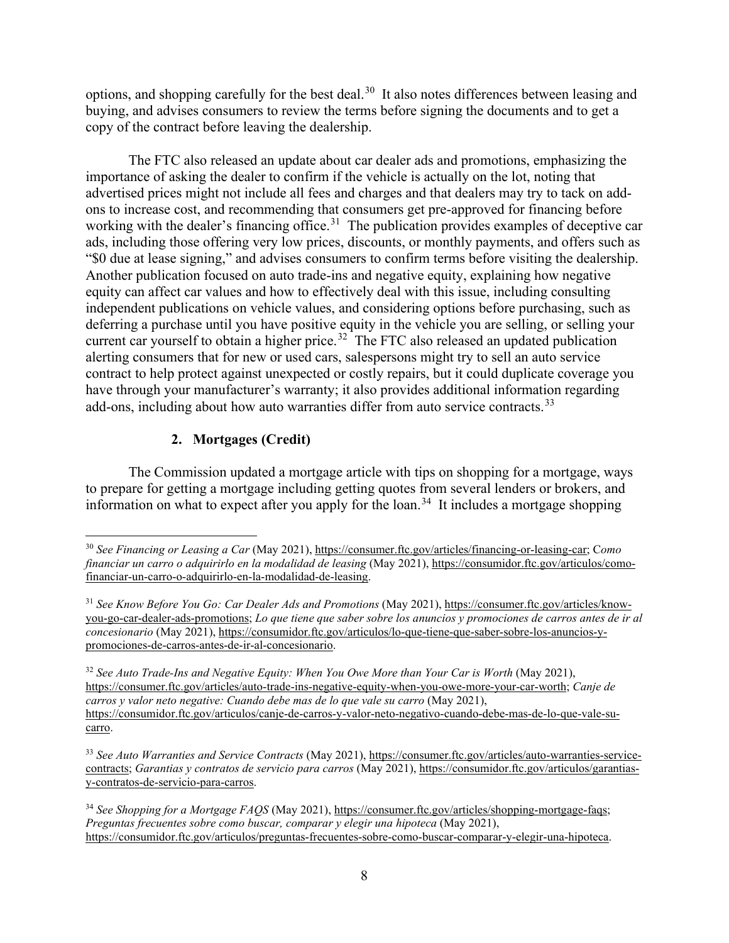options, and shopping carefully for the best deal.<sup>30</sup> It also notes differences between leasing and buying, and advises consumers to review the terms before signing the documents and to get a copy of the contract before leaving the dealership.

The FTC also released an update about car dealer ads and promotions, emphasizing the importance of asking the dealer to confirm if the vehicle is actually on the lot, noting that advertised prices might not include all fees and charges and that dealers may try to tack on addons to increase cost, and recommending that consumers get pre-approved for financing before working with the dealer's financing office.<sup>31</sup> The publication provides examples of deceptive car ads, including those offering very low prices, discounts, or monthly payments, and offers such as "\$0 due at lease signing," and advises consumers to confirm terms before visiting the dealership. Another publication focused on auto trade-ins and negative equity, explaining how negative equity can affect car values and how to effectively deal with this issue, including consulting independent publications on vehicle values, and considering options before purchasing, such as deferring a purchase until you have positive equity in the vehicle you are selling, or selling your current car yourself to obtain a higher price.<sup>32</sup> The FTC also released an updated publication alerting consumers that for new or used cars, salespersons might try to sell an auto service contract to help protect against unexpected or costly repairs, but it could duplicate coverage you have through your manufacturer's warranty; it also provides additional information regarding add-ons, including about how auto warranties differ from auto service contracts.<sup>[33](#page-7-3)</sup>

# **2. Mortgages (Credit)**

The Commission updated a mortgage article with tips on shopping for a mortgage, ways to prepare for getting a mortgage including getting quotes from several lenders or brokers, and information on what to expect after you apply for the loan.<sup>[34](#page-7-4)</sup> It includes a mortgage shopping

<span id="page-7-0"></span><sup>30</sup> *See Financing or Leasing a Car* (May 2021), https://consumer.ftc.gov/articles/financing-or-leasing-car; C*omo financiar un carro o adquirirlo en la modalidad de leasing* (May 2021), https://consumidor.ftc.gov/articulos/comofinanciar-un-carro-o-adquirirlo-en-la-modalidad-de-leasing.

<span id="page-7-1"></span><sup>31</sup> *See Know Before You Go: Car Dealer Ads and Promotions* (May 2021), https://consumer.ftc.gov/articles/knowyou-go-car-dealer-ads-promotions; *Lo que tiene que saber sobre los anuncios y promociones de carros antes de ir al concesionario* (May 2021), https://consumidor.ftc.gov/articulos/lo-que-tiene-que-saber-sobre-los-anuncios-ypromociones-de-carros-antes-de-ir-al-concesionario.

<span id="page-7-2"></span><sup>32</sup> *See Auto Trade-Ins and Negative Equity: When You Owe More than Your Car is Worth* (May 2021), https://consumer.ftc.gov/articles/auto-trade-ins-negative-equity-when-you-owe-more-your-car-worth; *Canje de carros y valor neto negative: Cuando debe mas de lo que vale su carro* (May 2021), https://consumidor.ftc.gov/articulos/canje-de-carros-y-valor-neto-negativo-cuando-debe-mas-de-lo-que-vale-sucarro.

<span id="page-7-3"></span><sup>33</sup> *See Auto Warranties and Service Contracts* (May 2021), https://consumer.ftc.gov/articles/auto-warranties-servicecontracts; *Garantias y contratos de servicio para carros* (May 2021), https://consumidor.ftc.gov/articulos/garantiasy-contratos-de-servicio-para-carros.

<span id="page-7-4"></span><sup>34</sup> *See Shopping for a Mortgage FAQS* (May 2021), https://consumer.ftc.gov/articles/shopping-mortgage-faqs; *Preguntas frecuentes sobre como buscar, comparar y elegir una hipoteca* (May 2021), https://consumidor.ftc.gov/articulos/preguntas-frecuentes-sobre-como-buscar-comparar-y-elegir-una-hipoteca.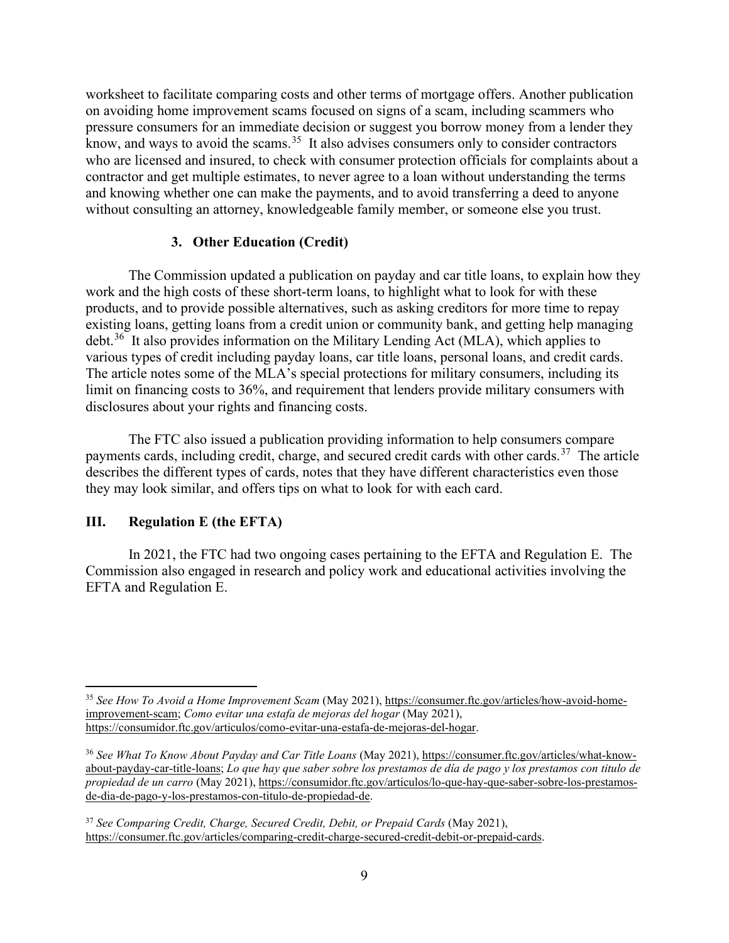worksheet to facilitate comparing costs and other terms of mortgage offers. Another publication on avoiding home improvement scams focused on signs of a scam, including scammers who pressure consumers for an immediate decision or suggest you borrow money from a lender they know, and ways to avoid the scams.<sup>[35](#page-8-0)</sup> It also advises consumers only to consider contractors who are licensed and insured, to check with consumer protection officials for complaints about a contractor and get multiple estimates, to never agree to a loan without understanding the terms and knowing whether one can make the payments, and to avoid transferring a deed to anyone without consulting an attorney, knowledgeable family member, or someone else you trust.

#### **3. Other Education (Credit)**

The Commission updated a publication on payday and car title loans, to explain how they work and the high costs of these short-term loans, to highlight what to look for with these products, and to provide possible alternatives, such as asking creditors for more time to repay existing loans, getting loans from a credit union or community bank, and getting help managing debt.<sup>[36](#page-8-1)</sup> It also provides information on the Military Lending Act (MLA), which applies to various types of credit including payday loans, car title loans, personal loans, and credit cards. The article notes some of the MLA's special protections for military consumers, including its limit on financing costs to 36%, and requirement that lenders provide military consumers with disclosures about your rights and financing costs.

The FTC also issued a publication providing information to help consumers compare payments cards, including credit, charge, and secured credit cards with other cards.<sup>37</sup> The article describes the different types of cards, notes that they have different characteristics even those they may look similar, and offers tips on what to look for with each card.

#### **III. Regulation E (the EFTA)**

In 2021, the FTC had two ongoing cases pertaining to the EFTA and Regulation E. The Commission also engaged in research and policy work and educational activities involving the EFTA and Regulation E.

<span id="page-8-0"></span><sup>35</sup> *See How To Avoid a Home Improvement Scam* (May 2021), https://consumer.ftc.gov/articles/how-avoid-homeimprovement-scam; *Como evitar una estafa de mejoras del hogar* (May 2021), https://consumidor.ftc.gov/articulos/como-evitar-una-estafa-de-mejoras-del-hogar.

<span id="page-8-1"></span><sup>&</sup>lt;sup>36</sup> See What To Know About Payday and Car Title Loans (May 2021), https://consumer.ftc.gov/articles/what-knowabout-payday-car-title-loans; *Lo que hay que saber sobre los prestamos de día de pago y los prestamos con titulo de propiedad de un carro* (May 2021), https://consumidor.ftc.gov/articulos/lo-que-hay-que-saber-sobre-los-prestamosde-dia-de-pago-y-los-prestamos-con-titulo-de-propiedad-de.

<span id="page-8-2"></span><sup>37</sup> *See Comparing Credit, Charge, Secured Credit, Debit, or Prepaid Cards* (May 2021), https://consumer.ftc.gov/articles/comparing-credit-charge-secured-credit-debit-or-prepaid-cards.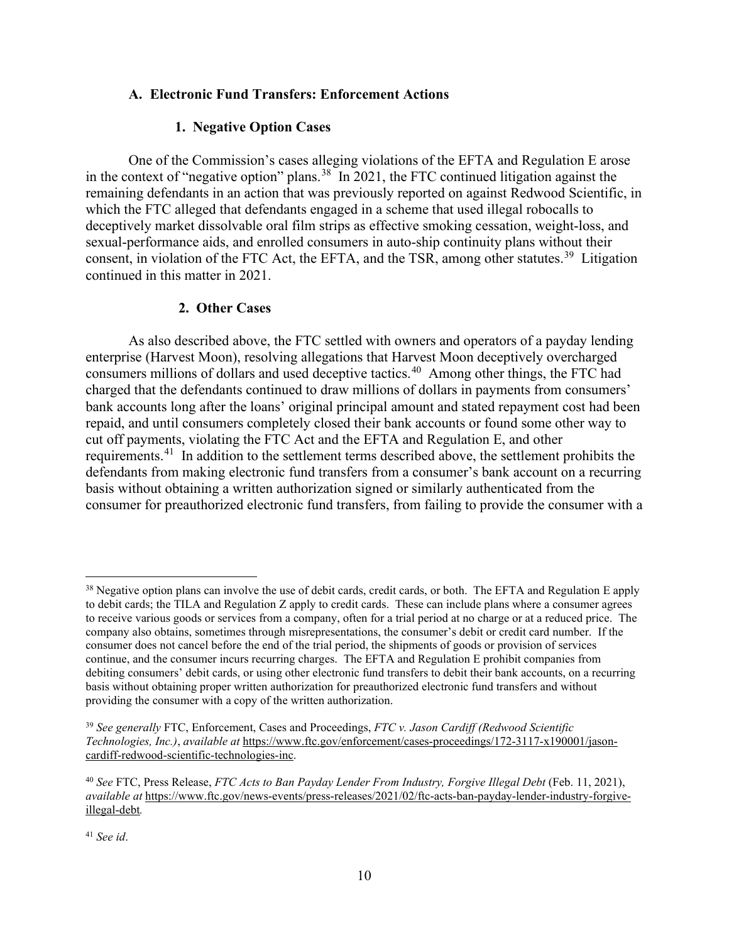#### **A. Electronic Fund Transfers: Enforcement Actions**

#### **1. Negative Option Cases**

One of the Commission's cases alleging violations of the EFTA and Regulation E arose in the context of "negative option" plans.<sup>[38](#page-9-0)</sup> In 2021, the FTC continued litigation against the remaining defendants in an action that was previously reported on against Redwood Scientific, in which the FTC alleged that defendants engaged in a scheme that used illegal robocalls to deceptively market dissolvable oral film strips as effective smoking cessation, weight-loss, and sexual-performance aids, and enrolled consumers in auto-ship continuity plans without their consent, in violation of the FTC Act, the EFTA, and the TSR, among other statutes.<sup>[39](#page-9-1)</sup> Litigation continued in this matter in 2021.

#### **2. Other Cases**

As also described above, the FTC settled with owners and operators of a payday lending enterprise (Harvest Moon), resolving allegations that Harvest Moon deceptively overcharged consumers millions of dollars and used deceptive tactics.<sup>[40](#page-9-2)</sup> Among other things, the FTC had charged that the defendants continued to draw millions of dollars in payments from consumers' bank accounts long after the loans' original principal amount and stated repayment cost had been repaid, and until consumers completely closed their bank accounts or found some other way to cut off payments, violating the FTC Act and the EFTA and Regulation E, and other requirements.<sup>[41](#page-9-3)</sup> In addition to the settlement terms described above, the settlement prohibits the defendants from making electronic fund transfers from a consumer's bank account on a recurring basis without obtaining a written authorization signed or similarly authenticated from the consumer for preauthorized electronic fund transfers, from failing to provide the consumer with a

<span id="page-9-0"></span><sup>&</sup>lt;sup>38</sup> Negative option plans can involve the use of debit cards, credit cards, or both. The EFTA and Regulation E apply to debit cards; the TILA and Regulation Z apply to credit cards. These can include plans where a consumer agrees to receive various goods or services from a company, often for a trial period at no charge or at a reduced price. The company also obtains, sometimes through misrepresentations, the consumer's debit or credit card number. If the consumer does not cancel before the end of the trial period, the shipments of goods or provision of services continue, and the consumer incurs recurring charges. The EFTA and Regulation E prohibit companies from debiting consumers' debit cards, or using other electronic fund transfers to debit their bank accounts, on a recurring basis without obtaining proper written authorization for preauthorized electronic fund transfers and without providing the consumer with a copy of the written authorization.

<span id="page-9-1"></span><sup>39</sup> *See generally* FTC, Enforcement, Cases and Proceedings, *FTC v. Jason Cardiff (Redwood Scientific Technologies, Inc.)*, *available at* https://www.ftc.gov/enforcement/cases-proceedings/172-3117-x190001/jasoncardiff-redwood-scientific-technologies-inc.

<span id="page-9-2"></span><sup>40</sup> *See* FTC, Press Release, *FTC Acts to Ban Payday Lender From Industry, Forgive Illegal Debt* (Feb. 11, 2021), *available at* https://www.ftc.gov/news-events/press-releases/2021/02/ftc-acts-ban-payday-lender-industry-forgiveillegal-debt*.* 

<span id="page-9-3"></span><sup>41</sup> *See id*.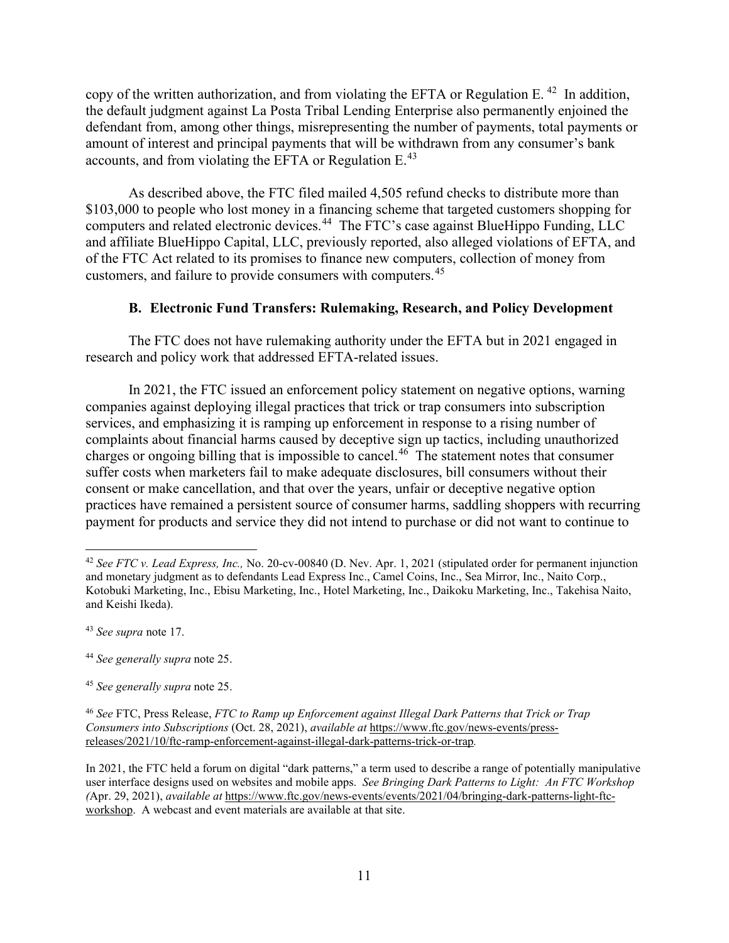copy of the written authorization, and from violating the EFTA or Regulation E.<sup>42</sup> In addition, the default judgment against La Posta Tribal Lending Enterprise also permanently enjoined the defendant from, among other things, misrepresenting the number of payments, total payments or amount of interest and principal payments that will be withdrawn from any consumer's bank accounts, and from violating the EFTA or Regulation E.<sup>[43](#page-10-1)</sup>

As described above, the FTC filed mailed 4,505 refund checks to distribute more than \$103,000 to people who lost money in a financing scheme that targeted customers shopping for computers and related electronic devices.<sup>[44](#page-10-2)</sup> The FTC's case against BlueHippo Funding, LLC and affiliate BlueHippo Capital, LLC, previously reported, also alleged violations of EFTA, and of the FTC Act related to its promises to finance new computers, collection of money from customers, and failure to provide consumers with computers.[45](#page-10-3)

## **B. Electronic Fund Transfers: Rulemaking, Research, and Policy Development**

The FTC does not have rulemaking authority under the EFTA but in 2021 engaged in research and policy work that addressed EFTA-related issues.

In 2021, the FTC issued an enforcement policy statement on negative options, warning companies against deploying illegal practices that trick or trap consumers into subscription services, and emphasizing it is ramping up enforcement in response to a rising number of complaints about financial harms caused by deceptive sign up tactics, including unauthorized charges or ongoing billing that is impossible to cancel.[46](#page-10-4) The statement notes that consumer suffer costs when marketers fail to make adequate disclosures, bill consumers without their consent or make cancellation, and that over the years, unfair or deceptive negative option practices have remained a persistent source of consumer harms, saddling shoppers with recurring payment for products and service they did not intend to purchase or did not want to continue to

<span id="page-10-0"></span><sup>42</sup> *See FTC v. Lead Express, Inc.,* No. 20-cv-00840 (D. Nev. Apr. 1, 2021 (stipulated order for permanent injunction and monetary judgment as to defendants Lead Express Inc., Camel Coins, Inc., Sea Mirror, Inc., Naito Corp., Kotobuki Marketing, Inc., Ebisu Marketing, Inc., Hotel Marketing, Inc., Daikoku Marketing, Inc., Takehisa Naito, and Keishi Ikeda).

<span id="page-10-1"></span><sup>43</sup> *See supra* note 17.

<span id="page-10-2"></span><sup>44</sup> *See generally supra* note 25.

<span id="page-10-3"></span><sup>45</sup> *See generally supra* note 25.

<span id="page-10-4"></span><sup>46</sup> *See* FTC, Press Release, *FTC to Ramp up Enforcement against Illegal Dark Patterns that Trick or Trap Consumers into Subscriptions* (Oct. 28, 2021), *available at* https://www.ftc.gov/news-events/pressreleases/2021/10/ftc-ramp-enforcement-against-illegal-dark-patterns-trick-or-trap*.*

In 2021, the FTC held a forum on digital "dark patterns," a term used to describe a range of potentially manipulative user interface designs used on websites and mobile apps. *See Bringing Dark Patterns to Light: An FTC Workshop (*Apr. 29, 2021), *available at* https://www.ftc.gov/news-events/events/2021/04/bringing-dark-patterns-light-ftcworkshop. A webcast and event materials are available at that site.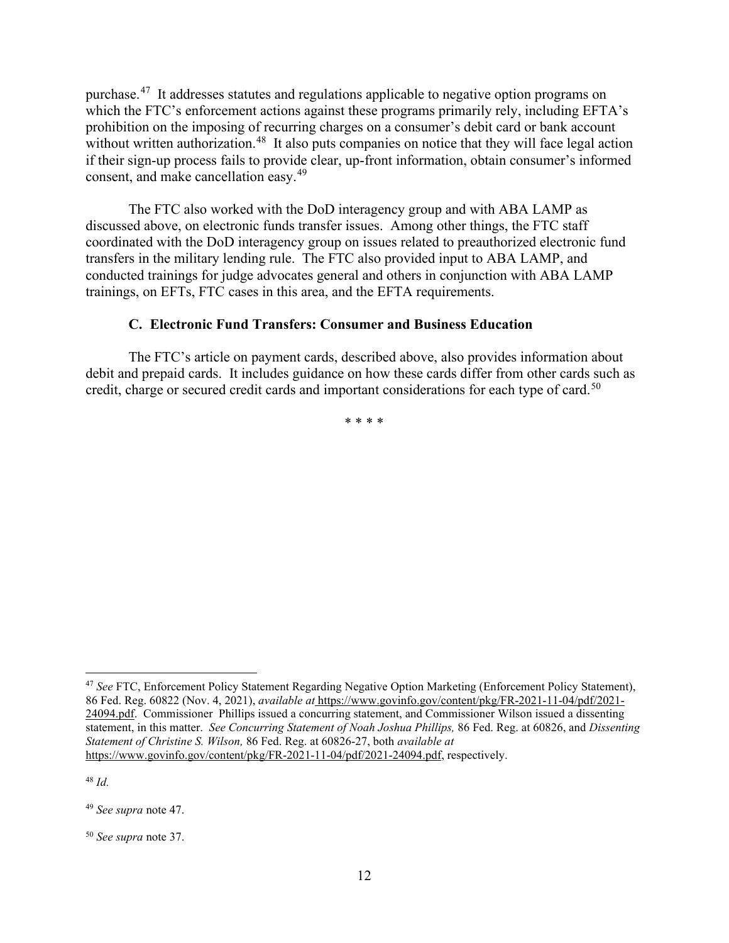purchase.[47](#page-11-0) It addresses statutes and regulations applicable to negative option programs on which the FTC's enforcement actions against these programs primarily rely, including EFTA's prohibition on the imposing of recurring charges on a consumer's debit card or bank account without written authorization.<sup>48</sup> It also puts companies on notice that they will face legal action if their sign-up process fails to provide clear, up-front information, obtain consumer's informed consent, and make cancellation easy.[49](#page-11-2)

The FTC also worked with the DoD interagency group and with ABA LAMP as discussed above, on electronic funds transfer issues. Among other things, the FTC staff coordinated with the DoD interagency group on issues related to preauthorized electronic fund transfers in the military lending rule. The FTC also provided input to ABA LAMP, and conducted trainings for judge advocates general and others in conjunction with ABA LAMP trainings, on EFTs, FTC cases in this area, and the EFTA requirements.

#### **C. Electronic Fund Transfers: Consumer and Business Education**

The FTC's article on payment cards, described above, also provides information about debit and prepaid cards. It includes guidance on how these cards differ from other cards such as credit, charge or secured credit cards and important considerations for each type of card.<sup>[50](#page-11-3)</sup>

\* \* \* \*

<span id="page-11-1"></span><sup>48</sup> *Id.*

<span id="page-11-0"></span><sup>47</sup> *See* FTC, Enforcement Policy Statement Regarding Negative Option Marketing (Enforcement Policy Statement), 86 Fed. Reg. 60822 (Nov. 4, 2021), *available at* https://www.govinfo.gov/content/pkg/FR-2021-11-04/pdf/2021- 24094.pdf. Commissioner Phillips issued a concurring statement, and Commissioner Wilson issued a dissenting statement, in this matter. *See Concurring Statement of Noah Joshua Phillips,* 86 Fed. Reg. at 60826, and *Dissenting Statement of Christine S. Wilson,* 86 Fed. Reg. at 60826-27, both *available at*  https://www.govinfo.gov/content/pkg/FR-2021-11-04/pdf/2021-24094.pdf, respectively.

<span id="page-11-2"></span><sup>49</sup> *See supra* note 47.

<span id="page-11-3"></span><sup>50</sup> *See supra* note 37.